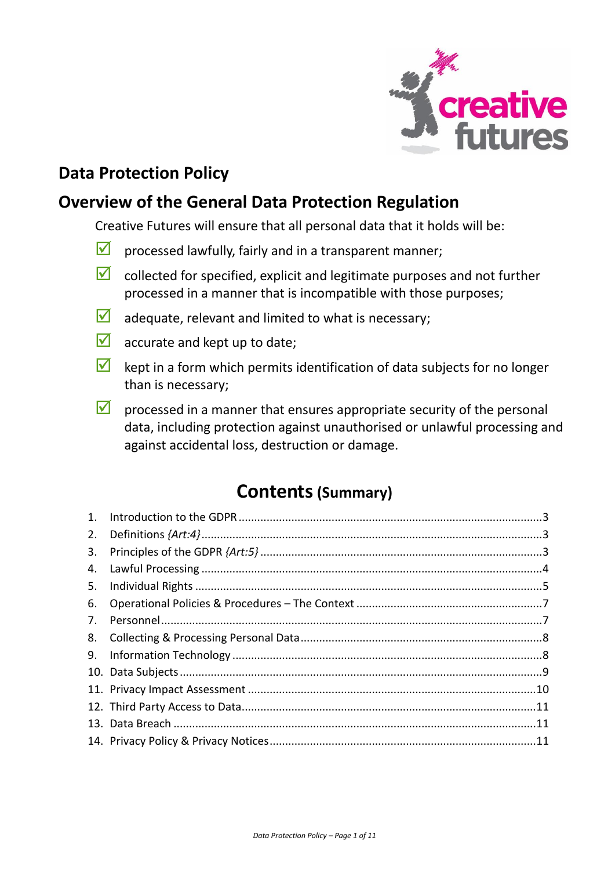

# **Data Protection Policy**

## **Overview of the General Data Protection Regulation**

Creative Futures will ensure that all personal data that it holds will be:

- $\blacksquare$  processed lawfully, fairly and in a transparent manner;
- $\blacksquare$  collected for specified, explicit and legitimate purposes and not further processed in a manner that is incompatible with those purposes;
- $\blacksquare$  adequate, relevant and limited to what is necessary;
- $\blacksquare$  accurate and kept up to date;
- $\blacksquare$  kept in a form which permits identification of data subjects for no longer than is necessary;
- $\blacksquare$  processed in a manner that ensures appropriate security of the personal data, including protection against unauthorised or unlawful processing and against accidental loss, destruction or damage.

# **Contents(Summary)**

| 1. |  |
|----|--|
| 2. |  |
| 3. |  |
| 4. |  |
| 5. |  |
| 6. |  |
| 7. |  |
| 8. |  |
|    |  |
|    |  |
|    |  |
|    |  |
|    |  |
|    |  |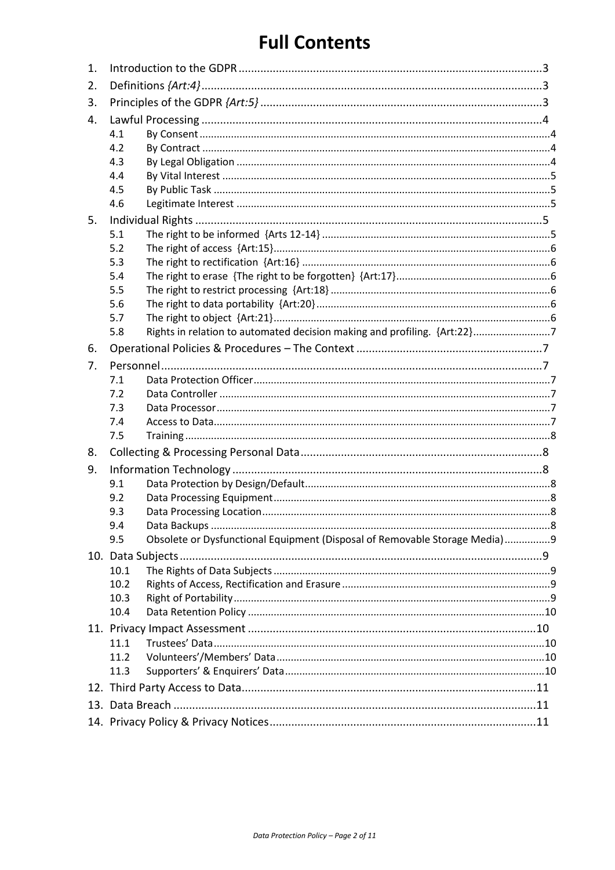# **Full Contents**

| 1. |                                                                                   |  |
|----|-----------------------------------------------------------------------------------|--|
| 2. |                                                                                   |  |
| 3. |                                                                                   |  |
| 4. |                                                                                   |  |
|    | 4.1                                                                               |  |
|    | 4.2                                                                               |  |
|    | 4.3                                                                               |  |
|    | 4.4                                                                               |  |
|    | 4.5                                                                               |  |
|    | 4.6                                                                               |  |
| 5. |                                                                                   |  |
|    | 5.1                                                                               |  |
|    | 5.2                                                                               |  |
|    | 5.3                                                                               |  |
|    | 5.4                                                                               |  |
|    | 5.5                                                                               |  |
|    | 5.6                                                                               |  |
|    | 5.7                                                                               |  |
|    | Rights in relation to automated decision making and profiling. {Art:22}7<br>5.8   |  |
| 6. |                                                                                   |  |
| 7. |                                                                                   |  |
|    | 7.1                                                                               |  |
|    | 7.2                                                                               |  |
|    | 7.3                                                                               |  |
|    | 7.4                                                                               |  |
|    | 7.5                                                                               |  |
| 8. |                                                                                   |  |
| 9. |                                                                                   |  |
|    | 9.1                                                                               |  |
|    | 9.2                                                                               |  |
|    | 9.3                                                                               |  |
|    | 9.4                                                                               |  |
|    | Obsolete or Dysfunctional Equipment (Disposal of Removable Storage Media)9<br>9.5 |  |
|    |                                                                                   |  |
|    | 10.1                                                                              |  |
|    | 10.2                                                                              |  |
|    | 10.3                                                                              |  |
|    | 10.4                                                                              |  |
|    |                                                                                   |  |
|    | 11.1                                                                              |  |
|    | 11.2                                                                              |  |
|    | 11.3                                                                              |  |
|    |                                                                                   |  |
|    |                                                                                   |  |
|    |                                                                                   |  |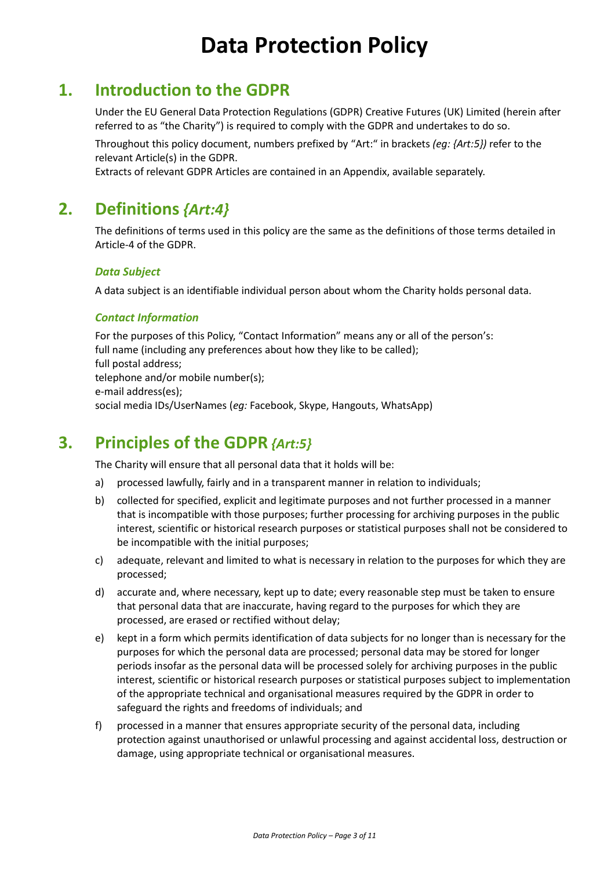# **Data Protection Policy**

### <span id="page-2-0"></span>**1. Introduction to the GDPR**

Under the EU General Data Protection Regulations (GDPR) Creative Futures (UK) Limited (herein after referred to as "the Charity") is required to comply with the GDPR and undertakes to do so.

Throughout this policy document, numbers prefixed by "Art:" in brackets *(eg: {Art:5})* refer to the relevant Article(s) in the GDPR.

Extracts of relevant GDPR Articles are contained in an Appendix, available separately.

## <span id="page-2-1"></span>**2. Definitions** *{Art:4}*

The definitions of terms used in this policy are the same as the definitions of those terms detailed in Article-4 of the GDPR.

#### *Data Subject*

A data subject is an identifiable individual person about whom the Charity holds personal data.

#### *Contact Information*

For the purposes of this Policy, "Contact Information" means any or all of the person's: full name (including any preferences about how they like to be called); full postal address; telephone and/or mobile number(s); e-mail address(es); social media IDs/UserNames (*eg:* Facebook, Skype, Hangouts, WhatsApp)

### <span id="page-2-2"></span>**3. Principles of the GDPR** *{Art:5}*

The Charity will ensure that all personal data that it holds will be:

- a) processed lawfully, fairly and in a transparent manner in relation to individuals;
- b) collected for specified, explicit and legitimate purposes and not further processed in a manner that is incompatible with those purposes; further processing for archiving purposes in the public interest, scientific or historical research purposes or statistical purposes shall not be considered to be incompatible with the initial purposes;
- c) adequate, relevant and limited to what is necessary in relation to the purposes for which they are processed;
- d) accurate and, where necessary, kept up to date; every reasonable step must be taken to ensure that personal data that are inaccurate, having regard to the purposes for which they are processed, are erased or rectified without delay;
- e) kept in a form which permits identification of data subjects for no longer than is necessary for the purposes for which the personal data are processed; personal data may be stored for longer periods insofar as the personal data will be processed solely for archiving purposes in the public interest, scientific or historical research purposes or statistical purposes subject to implementation of the appropriate technical and organisational measures required by the GDPR in order to safeguard the rights and freedoms of individuals; and
- f) processed in a manner that ensures appropriate security of the personal data, including protection against unauthorised or unlawful processing and against accidental loss, destruction or damage, using appropriate technical or organisational measures.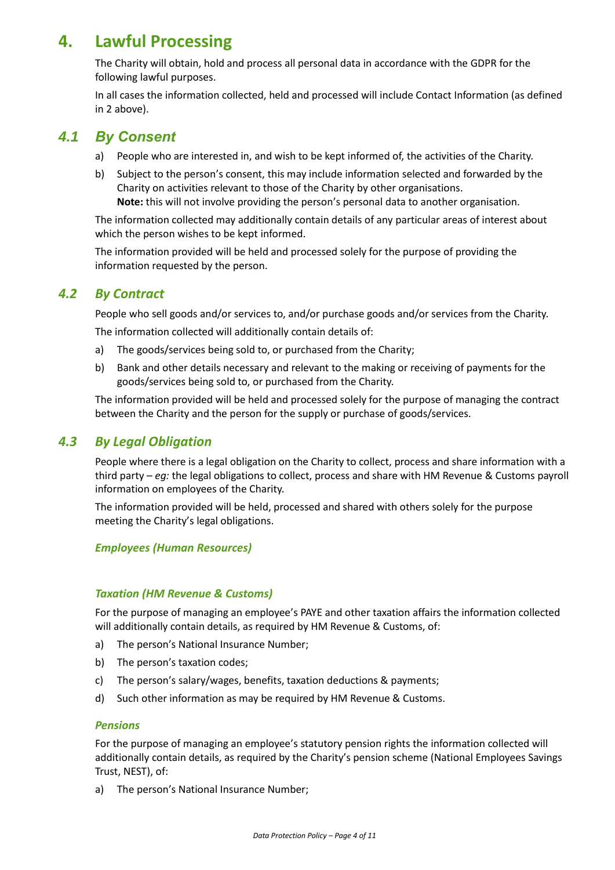# <span id="page-3-0"></span>**4. Lawful Processing**

The Charity will obtain, hold and process all personal data in accordance with the GDPR for the following lawful purposes.

In all cases the information collected, held and processed will include Contact Information (as defined in [2](#page-2-1) above).

### <span id="page-3-1"></span>*4.1 By Consent*

- a) People who are interested in, and wish to be kept informed of, the activities of the Charity.
- b) Subject to the person's consent, this may include information selected and forwarded by the Charity on activities relevant to those of the Charity by other organisations. **Note:** this will not involve providing the person's personal data to another organisation.

The information collected may additionally contain details of any particular areas of interest about which the person wishes to be kept informed.

The information provided will be held and processed solely for the purpose of providing the information requested by the person.

### <span id="page-3-2"></span>*4.2 By Contract*

People who sell goods and/or services to, and/or purchase goods and/or services from the Charity. The information collected will additionally contain details of:

- a) The goods/services being sold to, or purchased from the Charity;
- b) Bank and other details necessary and relevant to the making or receiving of payments for the goods/services being sold to, or purchased from the Charity.

The information provided will be held and processed solely for the purpose of managing the contract between the Charity and the person for the supply or purchase of goods/services.

### <span id="page-3-3"></span>*4.3 By Legal Obligation*

People where there is a legal obligation on the Charity to collect, process and share information with a third party – *eg:* the legal obligations to collect, process and share with HM Revenue & Customs payroll information on employees of the Charity.

The information provided will be held, processed and shared with others solely for the purpose meeting the Charity's legal obligations.

### *Employees (Human Resources)*

#### *Taxation (HM Revenue & Customs)*

For the purpose of managing an employee's PAYE and other taxation affairs the information collected will additionally contain details, as required by HM Revenue & Customs, of:

- a) The person's National Insurance Number;
- b) The person's taxation codes;
- c) The person's salary/wages, benefits, taxation deductions & payments;
- d) Such other information as may be required by HM Revenue & Customs.

#### *Pensions*

For the purpose of managing an employee's statutory pension rights the information collected will additionally contain details, as required by the Charity's pension scheme (National Employees Savings Trust, NEST), of:

a) The person's National Insurance Number;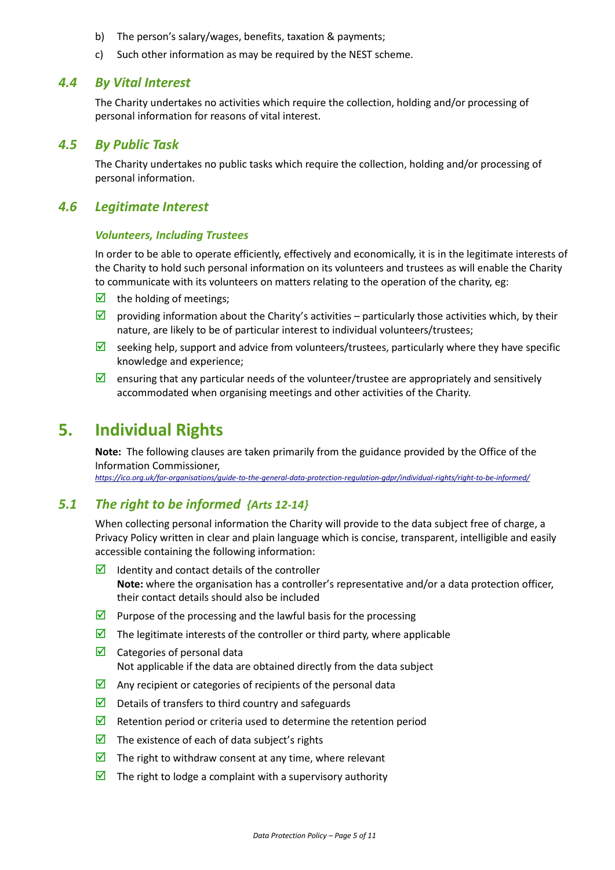- b) The person's salary/wages, benefits, taxation & payments;
- c) Such other information as may be required by the NEST scheme.

#### <span id="page-4-1"></span>*4.4 By Vital Interest*

The Charity undertakes no activities which require the collection, holding and/or processing of personal information for reasons of vital interest.

#### <span id="page-4-2"></span>*4.5 By Public Task*

The Charity undertakes no public tasks which require the collection, holding and/or processing of personal information.

#### <span id="page-4-3"></span>*4.6 Legitimate Interest*

#### *Volunteers, Including Trustees*

In order to be able to operate efficiently, effectively and economically, it is in the legitimate interests of the Charity to hold such personal information on its volunteers and trustees as will enable the Charity to communicate with its volunteers on matters relating to the operation of the charity, eg:

- $\boxtimes$  the holding of meetings;
- $\Box$  providing information about the Charity's activities particularly those activities which, by their nature, are likely to be of particular interest to individual volunteers/trustees;
- Seeking help, support and advice from volunteers/trustees, particularly where they have specific knowledge and experience;
- $\triangledown$  ensuring that any particular needs of the volunteer/trustee are appropriately and sensitively accommodated when organising meetings and other activities of the Charity.

### <span id="page-4-0"></span>**5. Individual Rights**

**Note:** The following clauses are taken primarily from the guidance provided by the Office of the Information Commissioner,

*<https://ico.org.uk/for-organisations/guide-to-the-general-data-protection-regulation-gdpr/individual-rights/right-to-be-informed/>*

### <span id="page-4-4"></span>*5.1 The right to be informed {Arts 12-14}*

When collecting personal information the Charity will provide to the data subject free of charge, a Privacy Policy written in clear and plain language which is concise, transparent, intelligible and easily accessible containing the following information:

- $\triangleright$  Identity and contact details of the controller **Note:** where the organisation has a controller's representative and/or a data protection officer, their contact details should also be included
- **Purpose of the processing and the lawful basis for the processing**
- $\blacksquare$  The legitimate interests of the controller or third party, where applicable
- $\boxtimes$  Categories of personal data Not applicable if the data are obtained directly from the data subject
- $\triangleright$  Any recipient or categories of recipients of the personal data
- $\Box$  Details of transfers to third country and safeguards
- Retention period or criteria used to determine the retention period
- $\triangleright$  The existence of each of data subject's rights
- $\triangleright$  The right to withdraw consent at any time, where relevant
- $\triangledown$  The right to lodge a complaint with a supervisory authority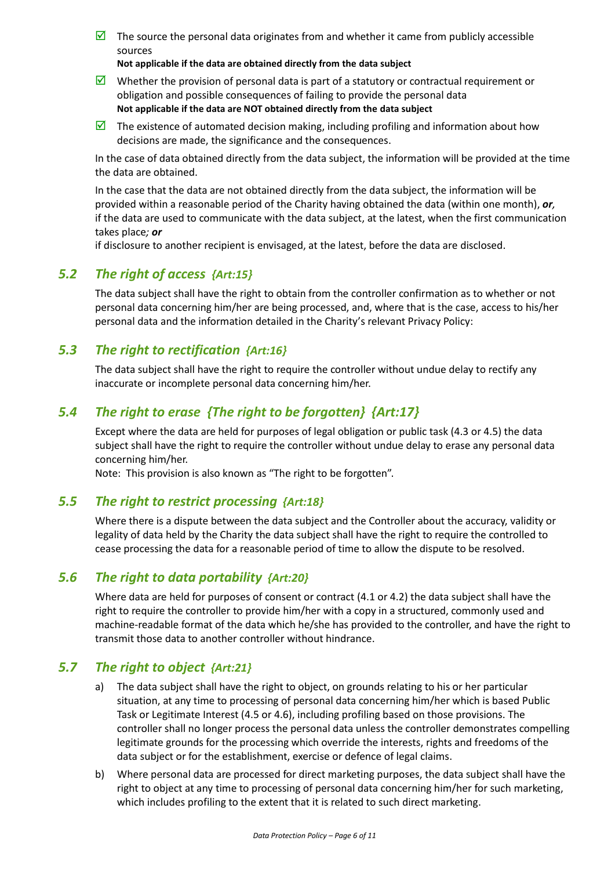$\triangledown$  The source the personal data originates from and whether it came from publicly accessible sources

**Not applicable if the data are obtained directly from the data subject**

- Whether the provision of personal data is part of a statutory or contractual requirement or obligation and possible consequences of failing to provide the personal data **Not applicable if the data are NOT obtained directly from the data subject**
- The existence of automated decision making, including profiling and information about how decisions are made, the significance and the consequences.

In the case of data obtained directly from the data subject, the information will be provided at the time the data are obtained.

In the case that the data are not obtained directly from the data subject, the information will be provided within a reasonable period of the Charity having obtained the data (within one month), *or,* if the data are used to communicate with the data subject, at the latest, when the first communication takes place*; or*

if disclosure to another recipient is envisaged, at the latest, before the data are disclosed.

### <span id="page-5-0"></span>*5.2 The right of access {Art:15}*

The data subject shall have the right to obtain from the controller confirmation as to whether or not personal data concerning him/her are being processed, and, where that is the case, access to his/her personal data and the information detailed in the Charity's relevant Privacy Policy:

### <span id="page-5-1"></span>*5.3 The right to rectification {Art:16}*

The data subject shall have the right to require the controller without undue delay to rectify any inaccurate or incomplete personal data concerning him/her.

### <span id="page-5-2"></span>*5.4 The right to erase {The right to be forgotten} {Art:17}*

Except where the data are held for purposes of legal obligation or public task [\(4.3](#page-3-3) or [4.5\)](#page-4-2) the data subject shall have the right to require the controller without undue delay to erase any personal data concerning him/her.

Note: This provision is also known as "The right to be forgotten".

### <span id="page-5-3"></span>*5.5 The right to restrict processing {Art:18}*

Where there is a dispute between the data subject and the Controller about the accuracy, validity or legality of data held by the Charity the data subject shall have the right to require the controlled to cease processing the data for a reasonable period of time to allow the dispute to be resolved.

### <span id="page-5-4"></span>*5.6 The right to data portability {Art:20}*

Where data are held for purposes of consent or contract [\(4.1](#page-3-1) o[r 4.2\)](#page-3-2) the data subject shall have the right to require the controller to provide him/her with a copy in a structured, commonly used and machine-readable format of the data which he/she has provided to the controller, and have the right to transmit those data to another controller without hindrance.

### <span id="page-5-6"></span><span id="page-5-5"></span>*5.7 The right to object {Art:21}*

- a) The data subject shall have the right to object, on grounds relating to his or her particular situation, at any time to processing of personal data concerning him/her which is based Public Task or Legitimate Interest [\(4.5](#page-4-2) o[r 4.6\)](#page-4-3), including profiling based on those provisions. The controller shall no longer process the personal data unless the controller demonstrates compelling legitimate grounds for the processing which override the interests, rights and freedoms of the data subject or for the establishment, exercise or defence of legal claims.
- b) Where personal data are processed for direct marketing purposes, the data subject shall have the right to object at any time to processing of personal data concerning him/her for such marketing, which includes profiling to the extent that it is related to such direct marketing.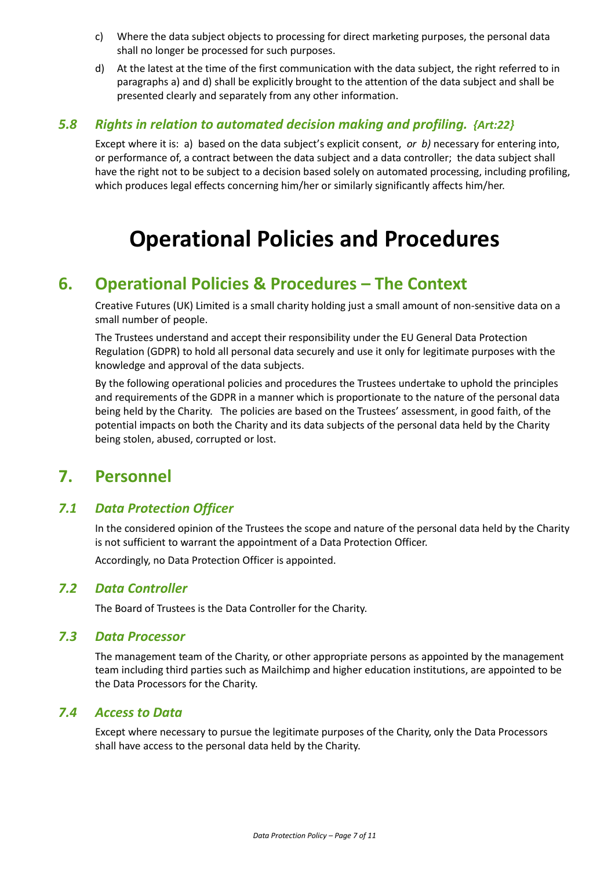- c) Where the data subject objects to processing for direct marketing purposes, the personal data shall no longer be processed for such purposes.
- <span id="page-6-7"></span>d) At the latest at the time of the first communication with the data subject, the right referred to in paragraph[s a\)](#page-5-6) and [d\)](#page-6-7) shall be explicitly brought to the attention of the data subject and shall be presented clearly and separately from any other information.

### <span id="page-6-2"></span>*5.8 Rights in relation to automated decision making and profiling. {Art:22}*

Except where it is: a) based on the data subject's explicit consent, *or b)* necessary for entering into, or performance of, a contract between the data subject and a data controller; the data subject shall have the right not to be subject to a decision based solely on automated processing, including profiling, which produces legal effects concerning him/her or similarly significantly affects him/her.

# **Operational Policies and Procedures**

## <span id="page-6-0"></span>**6. Operational Policies & Procedures – The Context**

Creative Futures (UK) Limited is a small charity holding just a small amount of non-sensitive data on a small number of people.

The Trustees understand and accept their responsibility under the EU General Data Protection Regulation (GDPR) to hold all personal data securely and use it only for legitimate purposes with the knowledge and approval of the data subjects.

By the following operational policies and procedures the Trustees undertake to uphold the principles and requirements of the GDPR in a manner which is proportionate to the nature of the personal data being held by the Charity. The policies are based on the Trustees' assessment, in good faith, of the potential impacts on both the Charity and its data subjects of the personal data held by the Charity being stolen, abused, corrupted or lost.

# <span id="page-6-1"></span>**7. Personnel**

### <span id="page-6-3"></span>*7.1 Data Protection Officer*

In the considered opinion of the Trustees the scope and nature of the personal data held by the Charity is not sufficient to warrant the appointment of a Data Protection Officer.

Accordingly, no Data Protection Officer is appointed.

### <span id="page-6-4"></span>*7.2 Data Controller*

The Board of Trustees is the Data Controller for the Charity.

### <span id="page-6-5"></span>*7.3 Data Processor*

The management team of the Charity, or other appropriate persons as appointed by the management team including third parties such as Mailchimp and higher education institutions, are appointed to be the Data Processors for the Charity.

#### <span id="page-6-6"></span>*7.4 Access to Data*

Except where necessary to pursue the legitimate purposes of the Charity, only the Data Processors shall have access to the personal data held by the Charity.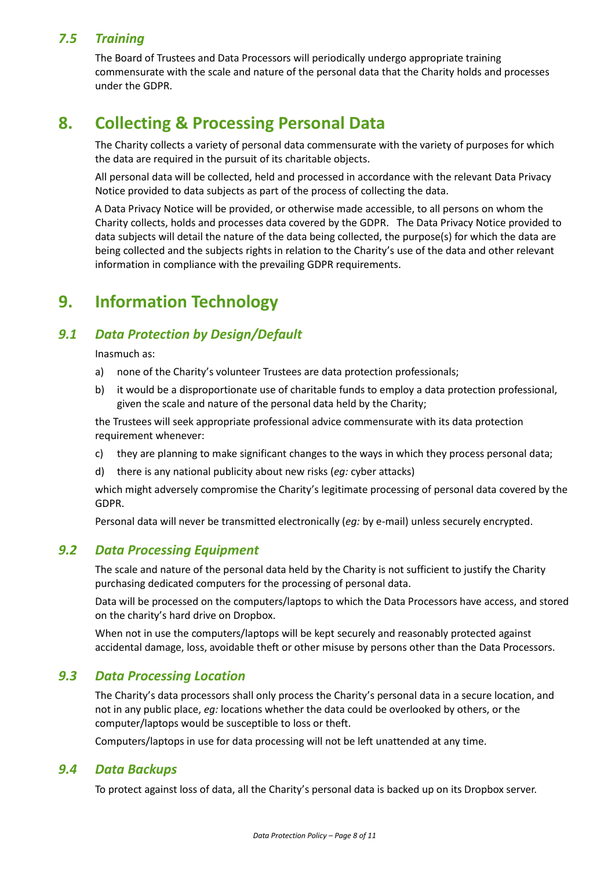### <span id="page-7-2"></span>*7.5 Training*

The Board of Trustees and Data Processors will periodically undergo appropriate training commensurate with the scale and nature of the personal data that the Charity holds and processes under the GDPR.

# <span id="page-7-0"></span>**8. Collecting & Processing Personal Data**

The Charity collects a variety of personal data commensurate with the variety of purposes for which the data are required in the pursuit of its charitable objects.

All personal data will be collected, held and processed in accordance with the relevant Data Privacy Notice provided to data subjects as part of the process of collecting the data.

A Data Privacy Notice will be provided, or otherwise made accessible, to all persons on whom the Charity collects, holds and processes data covered by the GDPR. The Data Privacy Notice provided to data subjects will detail the nature of the data being collected, the purpose(s) for which the data are being collected and the subjects rights in relation to the Charity's use of the data and other relevant information in compliance with the prevailing GDPR requirements.

# <span id="page-7-1"></span>**9. Information Technology**

### <span id="page-7-3"></span>*9.1 Data Protection by Design/Default*

Inasmuch as:

- a) none of the Charity's volunteer Trustees are data protection professionals;
- b) it would be a disproportionate use of charitable funds to employ a data protection professional, given the scale and nature of the personal data held by the Charity;

the Trustees will seek appropriate professional advice commensurate with its data protection requirement whenever:

- c) they are planning to make significant changes to the ways in which they process personal data;
- d) there is any national publicity about new risks (*eg:* cyber attacks)

which might adversely compromise the Charity's legitimate processing of personal data covered by the GDPR.

Personal data will never be transmitted electronically (*eg:* by e-mail) unless securely encrypted.

### <span id="page-7-4"></span>*9.2 Data Processing Equipment*

The scale and nature of the personal data held by the Charity is not sufficient to justify the Charity purchasing dedicated computers for the processing of personal data.

Data will be processed on the computers/laptops to which the Data Processors have access, and stored on the charity's hard drive on Dropbox.

When not in use the computers/laptops will be kept securely and reasonably protected against accidental damage, loss, avoidable theft or other misuse by persons other than the Data Processors.

### <span id="page-7-5"></span>*9.3 Data Processing Location*

The Charity's data processors shall only process the Charity's personal data in a secure location, and not in any public place, *eg:* locations whether the data could be overlooked by others, or the computer/laptops would be susceptible to loss or theft.

Computers/laptops in use for data processing will not be left unattended at any time.

### <span id="page-7-6"></span>*9.4 Data Backups*

To protect against loss of data, all the Charity's personal data is backed up on its Dropbox server.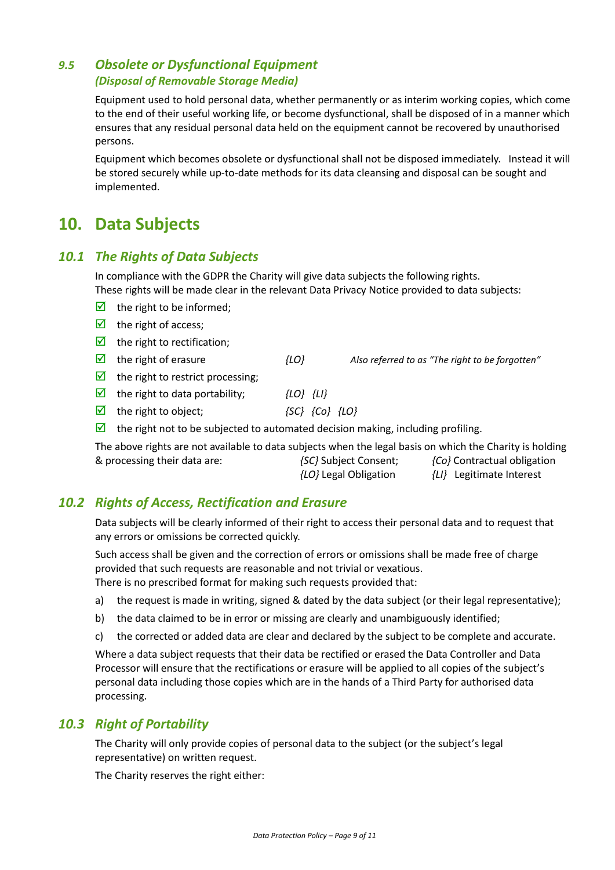### <span id="page-8-1"></span>*9.5 Obsolete or Dysfunctional Equipment (Disposal of Removable Storage Media)*

Equipment used to hold personal data, whether permanently or as interim working copies, which come to the end of their useful working life, or become dysfunctional, shall be disposed of in a manner which ensures that any residual personal data held on the equipment cannot be recovered by unauthorised persons.

Equipment which becomes obsolete or dysfunctional shall not be disposed immediately. Instead it will be stored securely while up-to-date methods for its data cleansing and disposal can be sought and implemented.

# <span id="page-8-0"></span>**10. Data Subjects**

### <span id="page-8-2"></span>*10.1 The Rights of Data Subjects*

In compliance with the GDPR the Charity will give data subjects the following rights. These rights will be made clear in the relevant Data Privacy Notice provided to data subjects:

- $\triangleright$  the right to be informed;
- $\triangledown$  the right of access;
- $\triangleright$  the right to rectification;
- the right of erasure *{LO} Also referred to as "The right to be forgotten"*
- 
- $\triangleright$  the right to restrict processing;
- the right to data portability; *{LO} {LI}*
- the right to object; *{SC} {Co} {LO}*
- $\boxtimes$  the right not to be subjected to automated decision making, including profiling.

The above rights are not available to data subjects when the legal basis on which the Charity is holding & processing their data are: *{SC}* Subject Consent; *{Co}* Contractual obligation

*{LO}* Legal Obligation *{LI}* Legitimate Interest

### <span id="page-8-3"></span>*10.2 Rights of Access, Rectification and Erasure*

Data subjects will be clearly informed of their right to access their personal data and to request that any errors or omissions be corrected quickly.

Such access shall be given and the correction of errors or omissions shall be made free of charge provided that such requests are reasonable and not trivial or vexatious. There is no prescribed format for making such requests provided that:

- a) the request is made in writing, signed & dated by the data subject (or their legal representative);
- b) the data claimed to be in error or missing are clearly and unambiguously identified;
- c) the corrected or added data are clear and declared by the subject to be complete and accurate.

Where a data subject requests that their data be rectified or erased the Data Controller and Data Processor will ensure that the rectifications or erasure will be applied to all copies of the subject's personal data including those copies which are in the hands of a Third Party for authorised data processing.

### <span id="page-8-4"></span>*10.3 Right of Portability*

The Charity will only provide copies of personal data to the subject (or the subject's legal representative) on written request.

The Charity reserves the right either: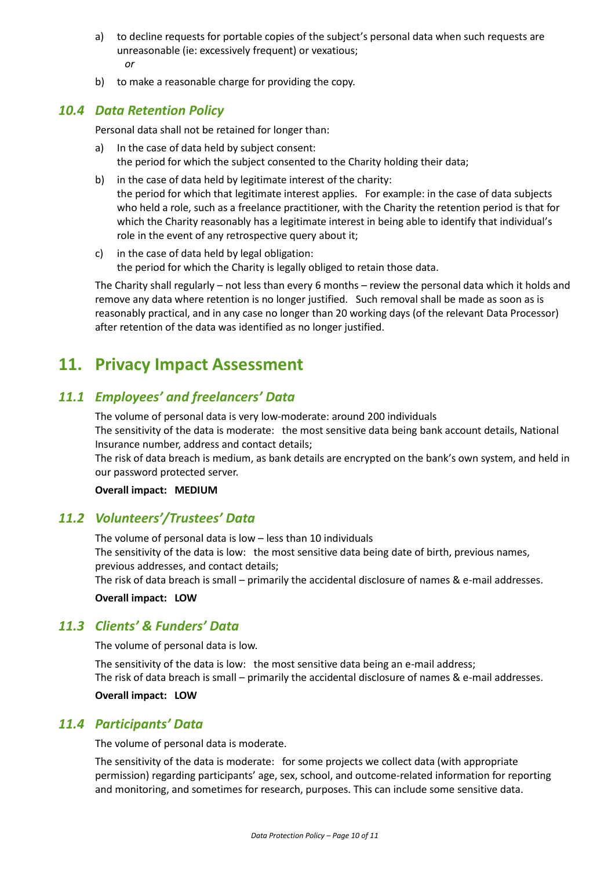- a) to decline requests for portable copies of the subject's personal data when such requests are unreasonable (ie: excessively frequent) or vexatious; *or*
- b) to make a reasonable charge for providing the copy.

### <span id="page-9-1"></span>*10.4 Data Retention Policy*

Personal data shall not be retained for longer than:

- a) In the case of data held by subject consent: the period for which the subject consented to the Charity holding their data;
- b) in the case of data held by legitimate interest of the charity: the period for which that legitimate interest applies. For example: in the case of data subjects who held a role, such as a freelance practitioner, with the Charity the retention period is that for which the Charity reasonably has a legitimate interest in being able to identify that individual's role in the event of any retrospective query about it;
- c) in the case of data held by legal obligation: the period for which the Charity is legally obliged to retain those data.

The Charity shall regularly – not less than every 6 months – review the personal data which it holds and remove any data where retention is no longer justified. Such removal shall be made as soon as is reasonably practical, and in any case no longer than 20 working days (of the relevant Data Processor) after retention of the data was identified as no longer justified.

# <span id="page-9-0"></span>**11. Privacy Impact Assessment**

### <span id="page-9-2"></span>*11.1 Employees' and freelancers' Data*

The volume of personal data is very low-moderate: around 200 individuals The sensitivity of the data is moderate: the most sensitive data being bank account details, National Insurance number, address and contact details;

The risk of data breach is medium, as bank details are encrypted on the bank's own system, and held in our password protected server.

**Overall impact: MEDIUM**

### <span id="page-9-3"></span>*11.2 Volunteers'/Trustees' Data*

The volume of personal data is low – less than 10 individuals The sensitivity of the data is low: the most sensitive data being date of birth, previous names, previous addresses, and contact details; The risk of data breach is small – primarily the accidental disclosure of names & e-mail addresses.

**Overall impact: LOW**

### <span id="page-9-4"></span>*11.3 Clients' & Funders' Data*

The volume of personal data is low.

The sensitivity of the data is low: the most sensitive data being an e-mail address; The risk of data breach is small – primarily the accidental disclosure of names & e-mail addresses.

**Overall impact: LOW**

### *11.4 Participants' Data*

The volume of personal data is moderate.

The sensitivity of the data is moderate: for some projects we collect data (with appropriate permission) regarding participants' age, sex, school, and outcome-related information for reporting and monitoring, and sometimes for research, purposes. This can include some sensitive data.